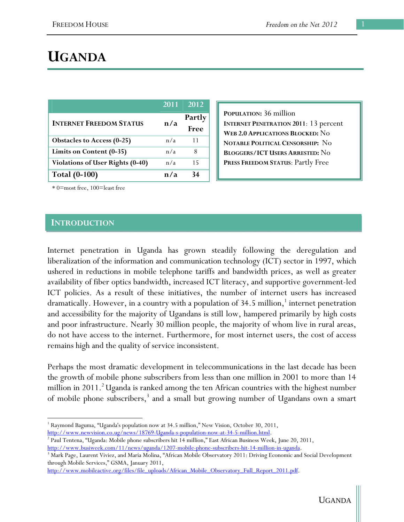# **UGANDA**

|                                         | 2011 | 2012           |
|-----------------------------------------|------|----------------|
| <b>INTERNET FREEDOM STATUS</b>          | n/a  | Partly<br>Free |
| Obstacles to Access (0-25)              | n/a  | 11             |
| Limits on Content (0-35)                | n/a  | 8              |
| <b>Violations of User Rights (0-40)</b> | n/a  | 15             |
| <b>Total (0-100)</b>                    | n/a  |                |

**POPULATION:** 36 million **INTERNET PENETRATION 2011**: 13 percent **WEB 2.0 APPLICATIONS BLOCKED:** No **NOTABLE POLITICAL CENSORSHIP:** No **BLOGGERS/ICT USERS ARRESTED:** No **PRESS FREEDOM STATUS**: Partly Free

\* 0=most free, 100=least free

### **INTRODUCTION**

Internet penetration in Uganda has grown steadily following the deregulation and liberalization of the information and communication technology (ICT) sector in 1997, which ushered in reductions in mobile telephone tariffs and bandwidth prices, as well as greater availability of fiber optics bandwidth, increased ICT literacy, and supportive government-led ICT policies. As a result of these initiatives, the number of internet users has increased dramatically. However, in a country with a population of 34.5 million, $^1$  internet penetration and accessibility for the majority of Ugandans is still low, hampered primarily by high costs and poor infrastructure. Nearly 30 million people, the majority of whom live in rural areas, do not have access to the internet. Furthermore, for most internet users, the cost of access remains high and the quality of service inconsistent.

Perhaps the most dramatic development in telecommunications in the last decade has been the growth of mobile phone subscribers from less than one million in 2001 to more than 14 million in 2011.<sup>2</sup> Uganda is ranked among the ten African countries with the highest number of mobile phone subscribers,<sup>3</sup> and a small but growing number of Ugandans own a smart

<sup>&</sup>lt;sup>1</sup> Raymond Baguma, "Uganda's population now at 34.5 million," New Vision, October 30, 2011,

http://www.newvision.co.ug/news/18769-Uganda-s-population-now-at-34-5-million.html.

Paul Tentena, "Uganda: Mobile phone subscribers hit 14 million," East African Business Week, June 20, 2011, http://www.busiweek.com/11/news/uganda/1207-mobile-phone-subscribers-hit-14-million-in-uganda. 3

<sup>&</sup>lt;sup>3</sup> Mark Page, Laurent Viviez, and Maria Molina, "African Mobile Observatory 2011: Driving Economic and Social Development through Mobile Services," GSMA, January 2011,

http://www.mobileactive.org/files/file\_uploads/African\_Mobile\_Observatory\_Full\_Report\_2011.pdf.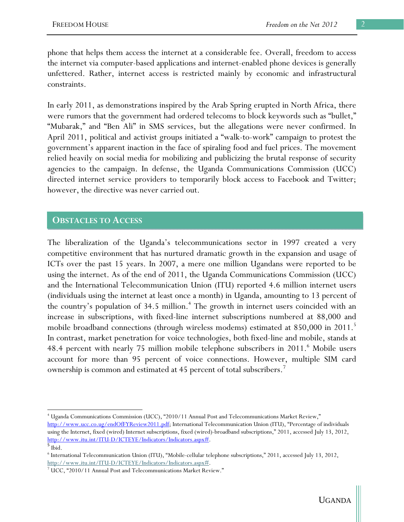phone that helps them access the internet at a considerable fee. Overall, freedom to access the internet via computer-based applications and internet-enabled phone devices is generally unfettered. Rather, internet access is restricted mainly by economic and infrastructural constraints.

In early 2011, as demonstrations inspired by the Arab Spring erupted in North Africa, there were rumors that the government had ordered telecoms to block keywords such as "bullet," "Mubarak," and "Ben Ali" in SMS services, but the allegations were never confirmed. In April 2011, political and activist groups initiated a "walk-to-work" campaign to protest the government's apparent inaction in the face of spiraling food and fuel prices. The movement relied heavily on social media for mobilizing and publicizing the brutal response of security agencies to the campaign. In defense, the Uganda Communications Commission (UCC) directed internet service providers to temporarily block access to Facebook and Twitter; however, the directive was never carried out.

### **OBSTACLES TO ACCESS**

The liberalization of the Uganda's telecommunications sector in 1997 created a very competitive environment that has nurtured dramatic growth in the expansion and usage of ICTs over the past 15 years. In 2007, a mere one million Ugandans were reported to be using the internet. As of the end of 2011, the Uganda Communications Commission (UCC) and the International Telecommunication Union (ITU) reported 4.6 million internet users (individuals using the internet at least once a month) in Uganda, amounting to 13 percent of the country's population of 34.5 million.<sup>4</sup> The growth in internet users coincided with an increase in subscriptions, with fixed-line internet subscriptions numbered at 88,000 and mobile broadband connections (through wireless modems) estimated at 850,000 in 2011.<sup>5</sup> In contrast, market penetration for voice technologies, both fixed-line and mobile, stands at 48.4 percent with nearly 75 million mobile telephone subscribers in 2011.<sup>6</sup> Mobile users account for more than 95 percent of voice connections. However, multiple SIM card ownership is common and estimated at 45 percent of total subscribers.<sup>7</sup>

 4 Uganda Communications Commission (UCC), "2010/11 Annual Post and Telecommunications Market Review,"

http://www.ucc.co.ug/endOfFYReview2011.pdf; International Telecommunication Union (ITU), "Percentage of individuals using the Internet, fixed (wired) Internet subscriptions, fixed (wired)-broadband subscriptions," 2011, accessed July 13, 2012, http://www.itu.int/ITU-D/ICTEYE/Indicators/Indicators.aspx#.

 $<sup>5</sup>$  Ibid.</sup>

<sup>6</sup> International Telecommunication Union (ITU), "Mobile-cellular telephone subscriptions," 2011, accessed July 13, 2012, http://www.itu.int/ITU-D/ICTEYE/Indicators/Indicators.aspx#.

 $7$  UCC, "2010/11 Annual Post and Telecommunications Market Review."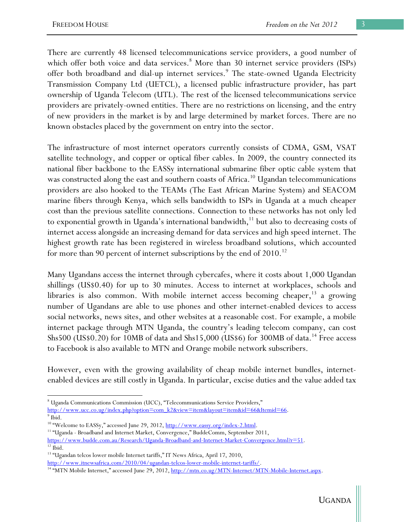There are currently 48 licensed telecommunications service providers, a good number of which offer both voice and data services.<sup>8</sup> More than 30 internet service providers (ISPs) offer both broadband and dial-up internet services.<sup>9</sup> The state-owned Uganda Electricity Transmission Company Ltd (UETCL), a licensed public infrastructure provider, has part ownership of Uganda Telecom (UTL). The rest of the licensed telecommunications service providers are privately-owned entities. There are no restrictions on licensing, and the entry of new providers in the market is by and large determined by market forces. There are no known obstacles placed by the government on entry into the sector.

The infrastructure of most internet operators currently consists of CDMA, GSM, VSAT satellite technology, and copper or optical fiber cables. In 2009, the country connected its national fiber backbone to the EASSy international submarine fiber optic cable system that was constructed along the east and southern coasts of Africa.<sup>10</sup> Ugandan telecommunications providers are also hooked to the TEAMs (The East African Marine System) and SEACOM marine fibers through Kenya, which sells bandwidth to ISPs in Uganda at a much cheaper cost than the previous satellite connections. Connection to these networks has not only led to exponential growth in Uganda's international bandwidth,<sup>11</sup> but also to decreasing costs of internet access alongside an increasing demand for data services and high speed internet. The highest growth rate has been registered in wireless broadband solutions, which accounted for more than 90 percent of internet subscriptions by the end of  $2010$ .<sup>12</sup>

Many Ugandans access the internet through cybercafes, where it costs about 1,000 Ugandan shillings (US\$0.40) for up to 30 minutes. Access to internet at workplaces, schools and libraries is also common. With mobile internet access becoming cheaper, $13$  a growing number of Ugandans are able to use phones and other internet-enabled devices to access social networks, news sites, and other websites at a reasonable cost. For example, a mobile internet package through MTN Uganda, the country's leading telecom company, can cost Shs500 (US\$0.20) for 10MB of data and Shs15,000 (US\$6) for 300MB of data.<sup>14</sup> Free access to Facebook is also available to MTN and Orange mobile network subscribers.

However, even with the growing availability of cheap mobile internet bundles, internetenabled devices are still costly in Uganda. In particular, excise duties and the value added tax

 <sup>8</sup> Uganda Communications Commission (UCC), "Telecommunications Service Providers," http://www.ucc.co.ug/index.php?option=com\_k2&view=item&layout=item&id=66&Itemid=66.

<sup>&</sup>lt;sup>9</sup> Ibid.<br><sup>10</sup> "Welcome to EASSy," accessed June 29, 2012, <u>http://www.eassy.org/index-2.html</u>.

<sup>&</sup>lt;sup>11</sup> "Uganda - Broadband and Internet Market, Convergence," BuddeComm, September 2011, https://www.budde.com.au/Research/Uganda-Broadband-and-Internet-Market-Convergence.html?r=51.<br><sup>12</sup> Ibid.

<sup>&</sup>lt;sup>13</sup> "Ugandan telcos lower mobile Internet tariffs," IT News Africa, April 17, 2010,

http://www.itnewsafrica.com/2010/04/ugandan-telcos-lower-mobile-internet-tariffs/.<br><sup>14</sup> "MTN Mobile Internet," accessed June 29, 2012, <u>http://mtn.co.ug/MTN-Internet/MTN-Mobile-Internet.aspx</u>.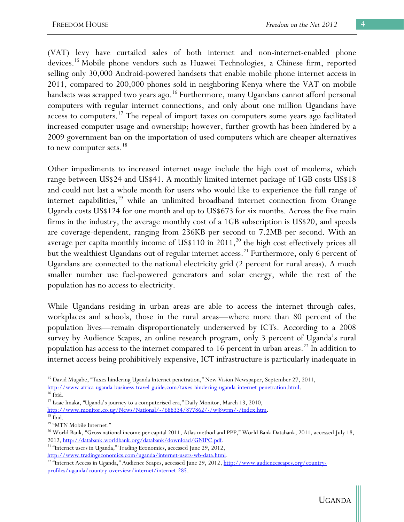(VAT) levy have curtailed sales of both internet and non-internet-enabled phone devices.15 Mobile phone vendors such as Huawei Technologies, a Chinese firm, reported selling only 30,000 Android-powered handsets that enable mobile phone internet access in 2011, compared to 200,000 phones sold in neighboring Kenya where the VAT on mobile handsets was scrapped two years ago.<sup>16</sup> Furthermore, many Ugandans cannot afford personal computers with regular internet connections, and only about one million Ugandans have access to computers.<sup>17</sup> The repeal of import taxes on computers some years ago facilitated increased computer usage and ownership; however, further growth has been hindered by a 2009 government ban on the importation of used computers which are cheaper alternatives to new computer sets.<sup>18</sup>

Other impediments to increased internet usage include the high cost of modems, which range between US\$24 and US\$41. A monthly limited internet package of 1GB costs US\$18 and could not last a whole month for users who would like to experience the full range of internet capabilities,<sup>19</sup> while an unlimited broadband internet connection from Orange Uganda costs US\$124 for one month and up to US\$673 for six months. Across the five main firms in the industry, the average monthly cost of a 1GB subscription is US\$20, and speeds are coverage-dependent, ranging from 236KB per second to 7.2MB per second. With an average per capita monthly income of  $USS110$  in 2011,<sup>20</sup> the high cost effectively prices all but the wealthiest Ugandans out of regular internet access.<sup>21</sup> Furthermore, only 6 percent of Ugandans are connected to the national electricity grid (2 percent for rural areas). A much smaller number use fuel-powered generators and solar energy, while the rest of the population has no access to electricity.

While Ugandans residing in urban areas are able to access the internet through cafes, workplaces and schools, those in the rural areas—where more than 80 percent of the population lives—remain disproportionately underserved by ICTs. According to a 2008 survey by Audience Scapes, an online research program, only 3 percent of Uganda's rural population has access to the internet compared to 16 percent in urban areas.<sup>22</sup> In addition to internet access being prohibitively expensive, ICT infrastructure is particularly inadequate in

http://www.monitor.co.ug/News/National/-/688334/877862/-/wj8wrm/-/index.htm. 18 Ibid.

<sup>&</sup>lt;sup>15</sup> David Mugabe, "Taxes hindering Uganda Internet penetration," New Vision Newspaper, September 27, 2011, http://www.africa-uganda-business-travel-guide.com/taxes-hindering-uganda-internet-penetration.html. 16 Ibid.

<sup>&</sup>lt;sup>17</sup> Isaac Imaka, "Uganda's journey to a computerised era," Daily Monitor, March 13, 2010,

<sup>&</sup>lt;sup>19</sup> "MTN Mobile Internet."

<sup>&</sup>lt;sup>20</sup> World Bank, "Gross national income per capital 2011, Atlas method and PPP," World Bank Databank, 2011, accessed July 18,

<sup>2012,</sup> http://databank.worldbank.org/databank/download/GNIPC.pdf. <sup>21</sup> "Internet users in Uganda," Trading Economics, accessed June 29, 2012,

http://www.tradingeconomics.com/uganda/internet-users-wb-data.html.<br><sup>22</sup> "Internet Access in Uganda," Audience Scapes, accessed June 29, 2012, <u>http://www.audiencescapes.org/country-</u> profiles/uganda/country-overview/internet/internet-285.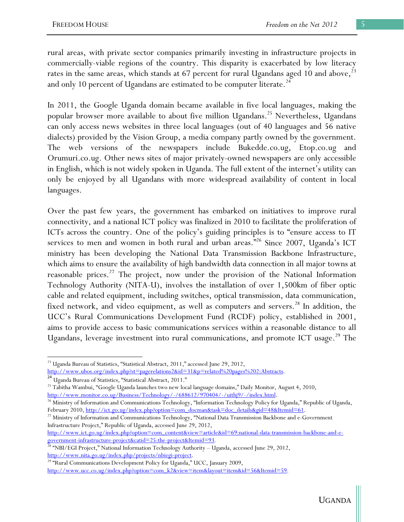rural areas, with private sector companies primarily investing in infrastructure projects in commercially-viable regions of the country. This disparity is exacerbated by low literacy rates in the same areas, which stands at 67 percent for rural Ugandans aged 10 and above, $^{23}$ and only 10 percent of Ugandans are estimated to be computer literate.<sup>24</sup>

In 2011, the Google Uganda domain became available in five local languages, making the popular browser more available to about five million Ugandans.<sup>25</sup> Nevertheless, Ugandans can only access news websites in three local languages (out of 40 languages and 56 native dialects) provided by the Vision Group, a media company partly owned by the government. The web versions of the newspapers include Bukedde.co.ug, Etop.co.ug and Orumuri.co.ug. Other news sites of major privately-owned newspapers are only accessible in English, which is not widely spoken in Uganda. The full extent of the internet's utility can only be enjoyed by all Ugandans with more widespread availability of content in local languages.

Over the past few years, the government has embarked on initiatives to improve rural connectivity, and a national ICT policy was finalized in 2010 to facilitate the proliferation of ICTs across the country. One of the policy's guiding principles is to "ensure access to IT services to men and women in both rural and urban areas."<sup>26</sup> Since 2007, Uganda's ICT ministry has been developing the National Data Transmission Backbone Infrastructure, which aims to ensure the availability of high bandwidth data connection in all major towns at reasonable prices.27 The project, now under the provision of the National Information Technology Authority (NITA-U), involves the installation of over 1,500km of fiber optic cable and related equipment, including switches, optical transmission, data communication, fixed network, and video equipment, as well as computers and servers.<sup>28</sup> In addition, the UCC's Rural Communications Development Fund (RCDF) policy, established in 2001, aims to provide access to basic communications services within a reasonable distance to all Ugandans, leverage investment into rural communications, and promote ICT usage.<sup>29</sup> The

<sup>&</sup>lt;sup>23</sup> Uganda Bureau of Statistics, "Statistical Abstract, 2011," accessed June 29, 2012,

http://www.ubos.org/index.php?st=pagerelations2&id=31&p=related%20pages%202:Abstracts.<br><sup>24</sup> Uganda Bureau of Statistics, "Statistical Abstract, 2011."

<sup>&</sup>lt;sup>25</sup> Tabitha Wambui, "Google Uganda launches two new local language domains," Daily Monitor, August 4, 2010,

http://www.monitor.co.ug/Business/Technology/-/688612/970404/-/uithj9/-/index.html.<br><sup>26</sup> Ministry of Information and Communications Technology, "Information Technology Policy for Uganda," Republic of Uganda,

February 2010, http://ict.go.ug/index.php?option=com\_docman&task=doc\_details&gid=48&Itemid=61.<br><sup>27</sup> Ministry of Information and Communications Technology, "National Data Transmission Backbone and e-Government Infrastructure Project," Republic of Uganda, accessed June 29, 2012,

http://www.ict.go.ug/index.php?option=com\_content&view=article&id=69:national-data-transmission-backbone-and-e-

government-infrastructure-project&catid=25:the-project&Itemid=93. 28 "NBI/EGI Project," National Information Technology Authority – Uganda, accessed June 29, 2012, http://www.nita.go.ug/index.php/projects/nbiegi-project.<br><sup>29</sup> "Rural Communications Development Policy for Uganda," UCC, January 2009,

http://www.ucc.co.ug/index.php?option=com\_k2&view=item&layout=item&id=56&Itemid=59.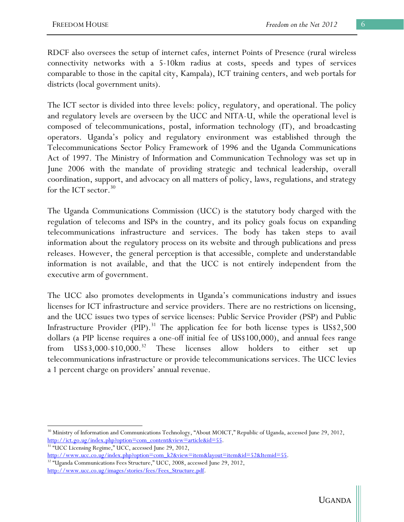RDCF also oversees the setup of internet cafes, internet Points of Presence (rural wireless connectivity networks with a 5-10km radius at costs, speeds and types of services comparable to those in the capital city, Kampala), ICT training centers, and web portals for districts (local government units).

The ICT sector is divided into three levels: policy, regulatory, and operational. The policy and regulatory levels are overseen by the UCC and NITA-U, while the operational level is composed of telecommunications, postal, information technology (IT), and broadcasting operators. Uganda's policy and regulatory environment was established through the Telecommunications Sector Policy Framework of 1996 and the Uganda Communications Act of 1997. The Ministry of Information and Communication Technology was set up in June 2006 with the mandate of providing strategic and technical leadership, overall coordination, support, and advocacy on all matters of policy, laws, regulations, and strategy for the ICT sector.<sup>30</sup>

The Uganda Communications Commission (UCC) is the statutory body charged with the regulation of telecoms and ISPs in the country, and its policy goals focus on expanding telecommunications infrastructure and services. The body has taken steps to avail information about the regulatory process on its website and through publications and press releases. However, the general perception is that accessible, complete and understandable information is not available, and that the UCC is not entirely independent from the executive arm of government.

The UCC also promotes developments in Uganda's communications industry and issues licenses for ICT infrastructure and service providers. There are no restrictions on licensing, and the UCC issues two types of service licenses: Public Service Provider (PSP) and Public Infrastructure Provider (PIP).<sup>31</sup> The application fee for both license types is  $US$2,500$ dollars (a PIP license requires a one-off initial fee of US\$100,000), and annual fees range from  $\text{US}\$3,000-\$10,000.^{32}$  These licenses allow holders to either set up telecommunications infrastructure or provide telecommunications services. The UCC levies a 1 percent charge on providers' annual revenue.

<sup>&</sup>lt;sup>30</sup> Ministry of Information and Communications Technology, "About MOICT," Republic of Uganda, accessed June 29, 2012, http://ict.go.ug/index.php?option=com\_content&view=article&id=55. 31 "UCC Licensing Regime," UCC, accessed June 29, 2012,

http://www.ucc.co.ug/index.php?option=com\_k2&view=item&layout=item&id=52&Itemid=55.<br><sup>32</sup> "Uganda Communications Fees Structure," UCC, 2008, accessed June 29, 2012,

http://www.ucc.co.ug/images/stories/fees/Fees\_Structure.pdf.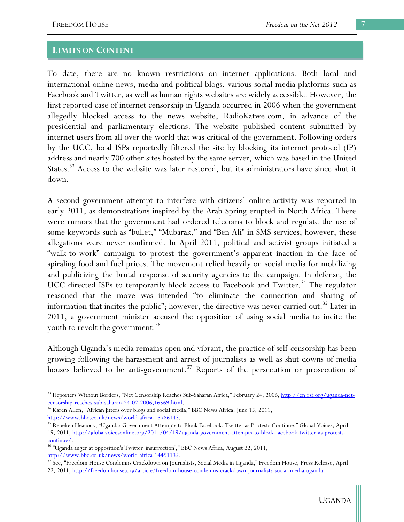#### **LIMITS ON CONTENT**

To date, there are no known restrictions on internet applications. Both local and international online news, media and political blogs, various social media platforms such as Facebook and Twitter, as well as human rights websites are widely accessible. However, the first reported case of internet censorship in Uganda occurred in 2006 when the government allegedly blocked access to the news website, RadioKatwe.com, in advance of the presidential and parliamentary elections. The website published content submitted by internet users from all over the world that was critical of the government. Following orders by the UCC, local ISPs reportedly filtered the site by blocking its internet protocol (IP) address and nearly 700 other sites hosted by the same server, which was based in the United States.<sup>33</sup> Access to the website was later restored, but its administrators have since shut it down.

A second government attempt to interfere with citizens' online activity was reported in early 2011, as demonstrations inspired by the Arab Spring erupted in North Africa. There were rumors that the government had ordered telecoms to block and regulate the use of some keywords such as "bullet," "Mubarak," and "Ben Ali" in SMS services; however, these allegations were never confirmed. In April 2011, political and activist groups initiated a "walk-to-work" campaign to protest the government's apparent inaction in the face of spiraling food and fuel prices. The movement relied heavily on social media for mobilizing and publicizing the brutal response of security agencies to the campaign. In defense, the UCC directed ISPs to temporarily block access to Facebook and Twitter.<sup>34</sup> The regulator reasoned that the move was intended "to eliminate the connection and sharing of information that incites the public"; however, the directive was never carried out.<sup>35</sup> Later in 2011, a government minister accused the opposition of using social media to incite the youth to revolt the government.<sup>36</sup>

Although Uganda's media remains open and vibrant, the practice of self-censorship has been growing following the harassment and arrest of journalists as well as shut downs of media houses believed to be anti-government.<sup>37</sup> Reports of the persecution or prosecution of

<sup>&</sup>lt;sup>33</sup> Reporters Without Borders, "Net Censorship Reaches Sub-Saharan Africa," February 24, 2006, <u>http://en.rsf.org/uganda-net-</u><br>censorship-reaches-sub-saharan-24-02-2006, 16569.html.

 $^{34}$  Karen Allen, "African jitters over blogs and social media," BBC News Africa, June 15, 2011,

http://www.bbc.co.uk/news/world-africa-13786143.<br><sup>35</sup> Rebekeh Heacock, "Uganda: Government Attempts to Block Facebook, Twitter as Protests Continue," Global Voices, April 19, 2011, http://globalvoicesonline.org/2011/04/19/uganda-government-attempts-to-block-facebook-twitter-as-protestscontinue/. 36 "Uganda anger at opposition's Twitter 'insurrection'," BBC News Africa, August 22, 2011,

http://www.bbc.co.uk/news/world-africa-14491135.<br><sup>37</sup> See, "Freedom House Condemns Crackdown on Journalists, Social Media in Uganda," Freedom House, Press Release, April 22, 2011, http://freedomhouse.org/article/freedom-house-condemns-crackdown-journalists-social-media-uganda.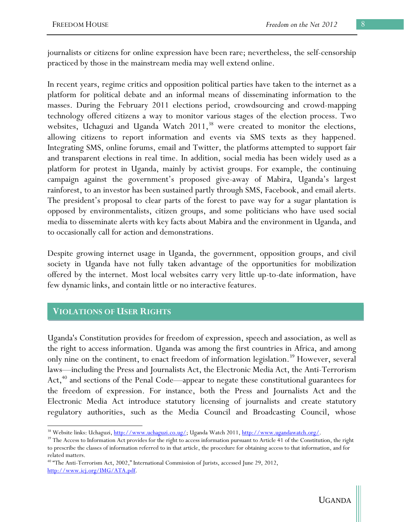journalists or citizens for online expression have been rare; nevertheless, the self-censorship practiced by those in the mainstream media may well extend online.

In recent years, regime critics and opposition political parties have taken to the internet as a platform for political debate and an informal means of disseminating information to the masses. During the February 2011 elections period, crowdsourcing and crowd-mapping technology offered citizens a way to monitor various stages of the election process. Two websites, Uchaguzi and Uganda Watch  $2011<sup>38</sup>$  were created to monitor the elections, allowing citizens to report information and events via SMS texts as they happened. Integrating SMS, online forums, email and Twitter, the platforms attempted to support fair and transparent elections in real time. In addition, social media has been widely used as a platform for protest in Uganda, mainly by activist groups. For example, the continuing campaign against the government's proposed give-away of Mabira, Uganda's largest rainforest, to an investor has been sustained partly through SMS, Facebook, and email alerts. The president's proposal to clear parts of the forest to pave way for a sugar plantation is opposed by environmentalists, citizen groups, and some politicians who have used social media to disseminate alerts with key facts about Mabira and the environment in Uganda, and to occasionally call for action and demonstrations.

Despite growing internet usage in Uganda, the government, opposition groups, and civil society in Uganda have not fully taken advantage of the opportunities for mobilization offered by the internet. Most local websites carry very little up-to-date information, have few dynamic links, and contain little or no interactive features.

## **VIOLATIONS OF USER RIGHTS**

Uganda's Constitution provides for freedom of expression, speech and association, as well as the right to access information. Uganda was among the first countries in Africa, and among only nine on the continent, to enact freedom of information legislation.<sup>39</sup> However, several laws—including the Press and Journalists Act, the Electronic Media Act, the Anti-Terrorism Act, $40$  and sections of the Penal Code—appear to negate these constitutional guarantees for the freedom of expression. For instance, both the Press and Journalists Act and the Electronic Media Act introduce statutory licensing of journalists and create statutory regulatory authorities, such as the Media Council and Broadcasting Council, whose

 <sup>38</sup> Website links: Uchaguzi, <u>http://www.uchaguzi.co.ug/</u>; Uganda Watch 2011, <u>http://www.ugandawatch.org/</u>.<br><sup>39</sup> The Access to Information Act provides for the right to access information pursuant to Article 41 of the Co

to prescribe the classes of information referred to in that article, the procedure for obtaining access to that information, and for related matters.

<sup>40 &</sup>quot;The Anti-Terrorism Act, 2002," International Commission of Jurists, accessed June 29, 2012, http://www.icj.org/IMG/ATA.pdf.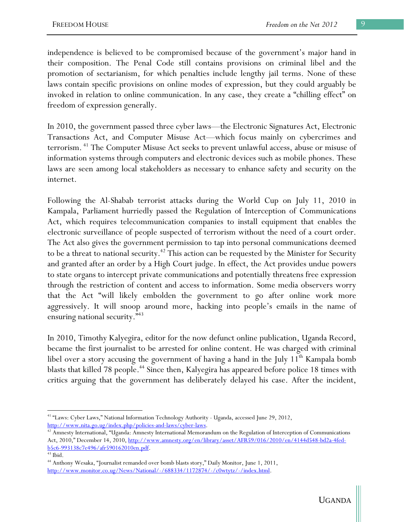independence is believed to be compromised because of the government's major hand in their composition. The Penal Code still contains provisions on criminal libel and the promotion of sectarianism, for which penalties include lengthy jail terms. None of these laws contain specific provisions on online modes of expression, but they could arguably be invoked in relation to online communication. In any case, they create a "chilling effect" on freedom of expression generally.

In 2010, the government passed three cyber laws—the Electronic Signatures Act, Electronic Transactions Act, and Computer Misuse Act—which focus mainly on cybercrimes and terrorism. 41 The Computer Misuse Act seeks to prevent unlawful access, abuse or misuse of information systems through computers and electronic devices such as mobile phones. These laws are seen among local stakeholders as necessary to enhance safety and security on the internet.

Following the Al-Shabab terrorist attacks during the World Cup on July 11, 2010 in Kampala, Parliament hurriedly passed the Regulation of Interception of Communications Act, which requires telecommunication companies to install equipment that enables the electronic surveillance of people suspected of terrorism without the need of a court order. The Act also gives the government permission to tap into personal communications deemed to be a threat to national security.<sup> $42$ </sup> This action can be requested by the Minister for Security and granted after an order by a High Court judge. In effect, the Act provides undue powers to state organs to intercept private communications and potentially threatens free expression through the restriction of content and access to information. Some media observers worry that the Act "will likely embolden the government to go after online work more aggressively. It will snoop around more, hacking into people's emails in the name of ensuring national security."<sup>43</sup>

In 2010, Timothy Kalyegira, editor for the now defunct online publication, Uganda Record, became the first journalist to be arrested for online content. He was charged with criminal libel over a story accusing the government of having a hand in the July 11<sup>th</sup> Kampala bomb blasts that killed 78 people.<sup>44</sup> Since then, Kalyegira has appeared before police 18 times with critics arguing that the government has deliberately delayed his case. After the incident,

 41 "Laws: Cyber Laws," National Information Technology Authority - Uganda, accessed June 29, 2012,

http://www.nita.go.ug/index.php/policies-and-laws/cyber-laws. 42 Amnesty International, "Uganda: Amnesty International Memorandum on the Regulation of Interception of Communications Act, 2010," December 14, 2010, http://www.amnesty.org/en/library/asset/AFR59/016/2010/en/4144d548-bd2a-4fedb5c6-993138c7e496/afr590162010en.pdf. 43 Ibid.

<sup>44</sup> Anthony Wesaka, "Journalist remanded over bomb blasts story," Daily Monitor, June 1, 2011, http://www.monitor.co.ug/News/National/-/688334/1172874/-/c0wtytz/-/index.html.